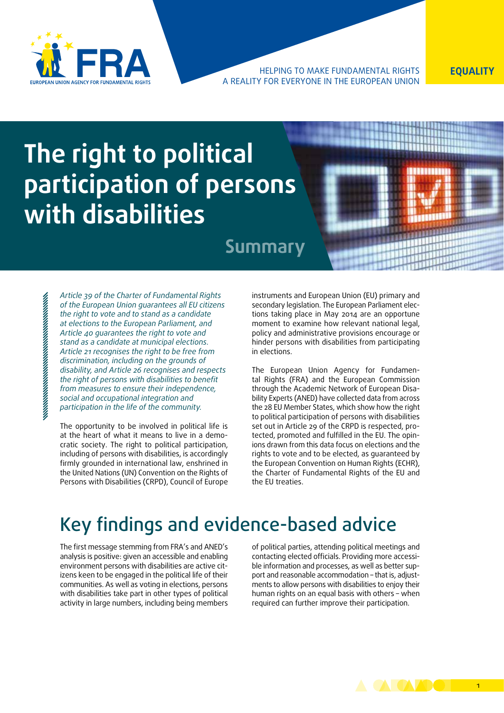

### HELPING TO MAKE FUNDAMENTAL RIGHTS **EQUALITY** a reality for everyone in the European Union

# **The right to political participation of persons with disabilities**

## **Summary**

*Article 39 of the Charter of Fundamental Rights of the European Union guarantees all EU citizens the right to vote and to stand as a candidate at elections to the European Parliament, and Article 40 guarantees the right to vote and stand as a candidate at municipal elections. Article 21 recognises the right to be free from discrimination, including on the grounds of disability, and Article 26 recognises and respects the right of persons with disabilities to benefit from measures to ensure their independence, social and occupational integration and participation in the life of the community.*

The opportunity to be involved in political life is at the heart of what it means to live in a democratic society. The right to political participation, including of persons with disabilities, is accordingly firmly grounded in international law, enshrined in the United Nations (UN) Convention on the Rights of Persons with Disabilities (CRPD), Council of Europe instruments and European Union (EU) primary and secondary legislation. The European Parliament elections taking place in May 2014 are an opportune moment to examine how relevant national legal, policy and administrative provisions encourage or hinder persons with disabilities from participating in elections.

The European Union Agency for Fundamental Rights (FRA) and the European Commission through the Academic Network of European Disability Experts (ANED) have collected data from across the 28 EU Member States, which show how the right to political participation of persons with disabilities set out in Article 29 of the CRPD is respected, protected, promoted and fulfilled in the EU. The opinions drawn from this data focus on elections and the rights to vote and to be elected, as guaranteed by the European Convention on Human Rights (ECHR), the Charter of Fundamental Rights of the EU and the EU treaties.

## Key findings and evidence-based advice

The first message stemming from FRA's and ANED's analysis is positive: given an accessible and enabling environment persons with disabilities are active citizens keen to be engaged in the political life of their communities. As well as voting in elections, persons with disabilities take part in other types of political activity in large numbers, including being members

of political parties, attending political meetings and contacting elected officials. Providing more accessible information and processes, as well as better support and reasonable accommodation – that is, adjustments to allow persons with disabilities to enjoy their human rights on an equal basis with others – when required can further improve their participation.

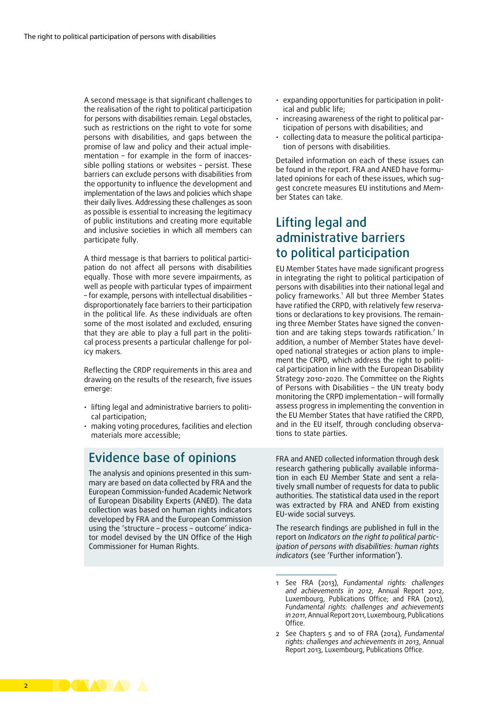A second message is that significant challenges to the realisation of the right to political participation for persons with disabilities remain. Legal obstacles, such as restrictions on the right to vote for some persons with disabilities, and gaps between the promise of law and policy and their actual implementation – for example in the form of inaccessible polling stations or websites – persist. These barriers can exclude persons with disabilities from the opportunity to influence the development and implementation of the laws and policies which shape their daily lives. Addressing these challenges as soon as possible is essential to increasing the legitimacy of public institutions and creating more equitable and inclusive societies in which all members can participate fully.

A third message is that barriers to political participation do not affect all persons with disabilities equally. Those with more severe impairments, as well as people with particular types of impairment – for example, persons with intellectual disabilities – disproportionately face barriers to their participation in the political life. As these individuals are often some of the most isolated and excluded, ensuring that they are able to play a full part in the political process presents a particular challenge for policy makers.

Reflecting the CRDP requirements in this area and drawing on the results of the research, five issues emerge:

- lifting legal and administrative barriers to political participation;
- making voting procedures, facilities and election materials more accessible;

## Evidence base of opinions

The analysis and opinions presented in this summary are based on data collected by FRA and the European Commission-funded Academic Network of European Disability Experts (ANED). The data collection was based on human rights indicators developed by FRA and the European Commission using the 'structure – process – outcome' indicator model devised by the UN Office of the High Commissioner for Human Rights.

- expanding opportunities for participation in political and public life;
- increasing awareness of the right to political participation of persons with disabilities; and
- collecting data to measure the political participation of persons with disabilities.

Detailed information on each of these issues can be found in the report. FRA and ANED have formulated opinions for each of these issues, which suggest concrete measures EU institutions and Member States can take.

## Lifting legal and administrative barriers to political participation

EU Member States have made significant progress in integrating the right to political participation of persons with disabilities into their national legal and policy frameworks.<sup>1</sup> All but three Member States have ratified the CRPD, with relatively few reservations or declarations to key provisions. The remaining three Member States have signed the convention and are taking steps towards ratification.<sup>2</sup> In addition, a number of Member States have developed national strategies or action plans to implement the CRPD, which address the right to political participation in line with the European Disability Strategy 2010-2020. The Committee on the Rights of Persons with Disabilities – the UN treaty body monitoring the CRPD implementation – will formally assess progress in implementing the convention in the EU Member States that have ratified the CRPD, and in the EU itself, through concluding observations to state parties.

FRA and ANED collected information through desk research gathering publically available information in each EU Member State and sent a relatively small number of requests for data to public authorities. The statistical data used in the report was extracted by FRA and ANED from existing EU‑wide social surveys.

The research findings are published in full in the report on *Indicators on the right to political participation of persons with disabilities: human rights indicators* (see 'Further information').

1 See FRA (2013), *Fundamental rights: challenges and achievements in 2012*, Annual Report 2012, Luxembourg, Publications Office; and FRA (2012), *Fundamental rights: challenges and achievements in 2011*, Annual Report 2011, Luxembourg, Publications Office.

2 See Chapters 5 and 10 of FRA (2014), *Fundamental rights: challenges and achievements in 2013*, Annual Report 2013, Luxembourg, Publications Office.

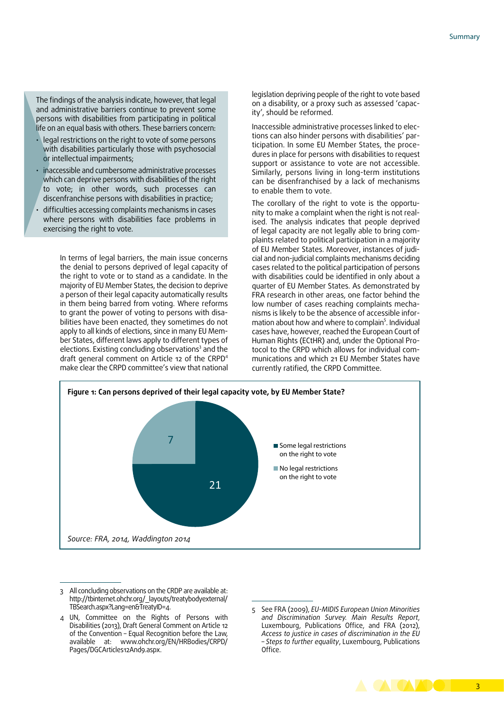The findings of the analysis indicate, however, that legal and administrative barriers continue to prevent some persons with disabilities from participating in political life on an equal basis with others. These barriers concern:

- legal restrictions on the right to vote of some persons with disabilities particularly those with psychosocial or intellectual impairments;
- inaccessible and cumbersome administrative processes which can deprive persons with disabilities of the right to vote; in other words, such processes can discenfranchise persons with disabilities in practice;
- difficulties accessing complaints mechanisms in cases where persons with disabilities face problems in exercising the right to vote.

In terms of legal barriers, the main issue concerns the denial to persons deprived of legal capacity of the right to vote or to stand as a candidate. In the majority of EU Member States, the decision to deprive a person of their legal capacity automatically results in them being barred from voting. Where reforms to grant the power of voting to persons with disabilities have been enacted, they sometimes do not apply to all kinds of elections, since in many EU Member States, different laws apply to different types of elections. Existing concluding observations<sup>3</sup> and the draft general comment on Article 12 of the CRPD<sup>4</sup> make clear the CRPD committee's view that national

legislation depriving people of the right to vote based on a disability, or a proxy such as assessed 'capacity', should be reformed.

Inaccessible administrative processes linked to elections can also hinder persons with disabilities' participation. In some EU Member States, the procedures in place for persons with disabilities to request support or assistance to vote are not accessible. Similarly, persons living in long-term institutions can be disenfranchised by a lack of mechanisms to enable them to vote.

The corollary of the right to vote is the opportunity to make a complaint when the right is not realised. The analysis indicates that people deprived of legal capacity are not legally able to bring complaints related to political participation in a majority of EU Member States. Moreover, instances of judicial and non-judicial complaints mechanisms deciding cases related to the political participation of persons with disabilities could be identified in only about a quarter of EU Member States. As demonstrated by FRA research in other areas, one factor behind the low number of cases reaching complaints mechanisms is likely to be the absence of accessible information about how and where to complain<sup>5</sup>. Individual cases have, however, reached the European Court of Human Rights (ECtHR) and, under the Optional Protocol to the CRPD which allows for individual communications and which 21 EU Member States have currently ratified, the CRPD Committee.



<sup>3</sup> All concluding observations on the CRDP are available at: [http://tbinternet.ohchr.org/\\_layouts/treatybodyexternal/](http://tbinternet.ohchr.org/_layouts/treatybodyexternal/TBSearch.aspx?Lang=en&TreatyID=4) [TBSearch.aspx?Lang=en&TreatyID=4.](http://tbinternet.ohchr.org/_layouts/treatybodyexternal/TBSearch.aspx?Lang=en&TreatyID=4)

<sup>5</sup> See FRA (2009), *EU-MIDIS European Union Minorities and Discrimination Survey. Main Results Report*, Luxembourg, Publications Office, and FRA (2012), *Access to justice in cases of discrimination in the EU – Steps to further equality*, Luxembourg, Publications Office.



<sup>4</sup> UN, Committee on the Rights of Persons with Disabilities (2013), Draft General Comment on Article 12 of the Convention – Equal Recognition before the Law, available at: [www.ohchr.org/EN/HRBodies/CRPD/](http://www.ohchr.org/EN/HRBodies/CRPD/Pages/DGCArticles12And9.aspx) [Pages/DGCArticles12And9.aspx](http://www.ohchr.org/EN/HRBodies/CRPD/Pages/DGCArticles12And9.aspx).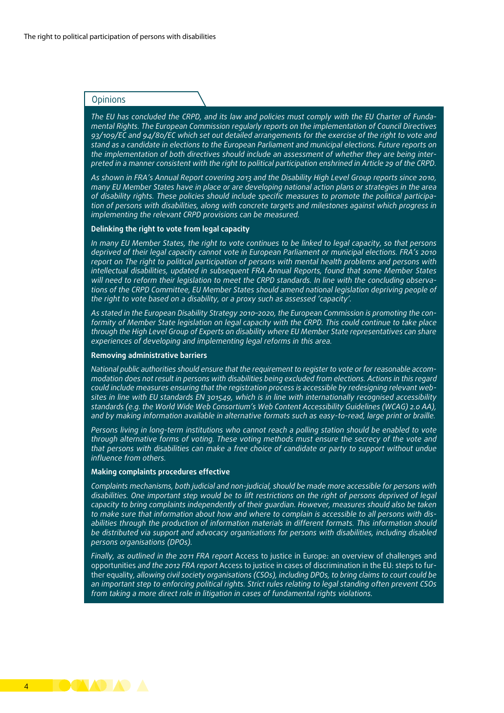### **Opinions**

*The EU has concluded the CRPD, and its law and policies must comply with the EU Charter of Fundamental Rights. The European Commission regularly reports on the implementation of Council Directives 93/109/EC and 94/80/EC which set out detailed arrangements for the exercise of the right to vote and stand as a candidate in elections to the European Parliament and municipal elections. Future reports on the implementation of both directives should include an assessment of whether they are being interpreted in a manner consistent with the right to political participation enshrined in Article 29 of the CRPD.* 

*As shown in FRA's Annual Report covering 2013 and the Disability High Level Group reports since 2010, many EU Member States have in place or are developing national action plans or strategies in the area of disability rights. These policies should include specific measures to promote the political participation of persons with disabilities, along with concrete targets and milestones against which progress in implementing the relevant CRPD provisions can be measured.*

#### **Delinking the right to vote from legal capacity**

*In many EU Member States, the right to vote continues to be linked to legal capacity, so that persons deprived of their legal capacity cannot vote in European Parliament or municipal elections. FRA's 2010 report on The right to political participation of persons with mental health problems and persons with intellectual disabilities, updated in subsequent FRA Annual Reports, found that some Member States will need to reform their legislation to meet the CRPD standards. In line with the concluding observations of the CRPD Committee, EU Member States should amend national legislation depriving people of the right to vote based on a disability, or a proxy such as assessed 'capacity'.* 

*As stated in the European Disability Strategy 2010–2020, the European Commission is promoting the conformity of Member State legislation on legal capacity with the CRPD. This could continue to take place through the High Level Group of Experts on disability where EU Member State representatives can share experiences of developing and implementing legal reforms in this area.*

#### **Removing administrative barriers**

*National public authorities should ensure that the requirement to register to vote or for reasonable accommodation does not result in persons with disabilities being excluded from elections. Actions in this regard could include measures ensuring that the registration process is accessible by redesigning relevant websites in line with EU standards EN 301549, which is in line with internationally recognised accessibility standards (e.g. the World Wide Web Consortium's Web Content Accessibility Guidelines (WCAG) 2.0 AA), and by making information available in alternative formats such as easy-to-read, large print or braille.*

*Persons living in long-term institutions who cannot reach a polling station should be enabled to vote through alternative forms of voting. These voting methods must ensure the secrecy of the vote and that persons with disabilities can make a free choice of candidate or party to support without undue influence from others.*

#### **Making complaints procedures effective**

*Complaints mechanisms, both judicial and non-judicial, should be made more accessible for persons with disabilities. One important step would be to lift restrictions on the right of persons deprived of legal capacity to bring complaints independently of their guardian. However, measures should also be taken to make sure that information about how and where to complain is accessible to all persons with disabilities through the production of information materials in different formats. This information should be distributed via support and advocacy organisations for persons with disabilities, including disabled persons organisations (DPOs).*

*Finally, as outlined in the 2011 FRA report* Access to justice in Europe: an overview of challenges and opportunities *and the 2012 FRA report* Access to justice in cases of discrimination in the EU: steps to further equality*, allowing civil society organisations (CSOs), including DPOs, to bring claims to court could be an important step to enforcing political rights. Strict rules relating to legal standing often prevent CSOs from taking a more direct role in litigation in cases of fundamental rights violations.*

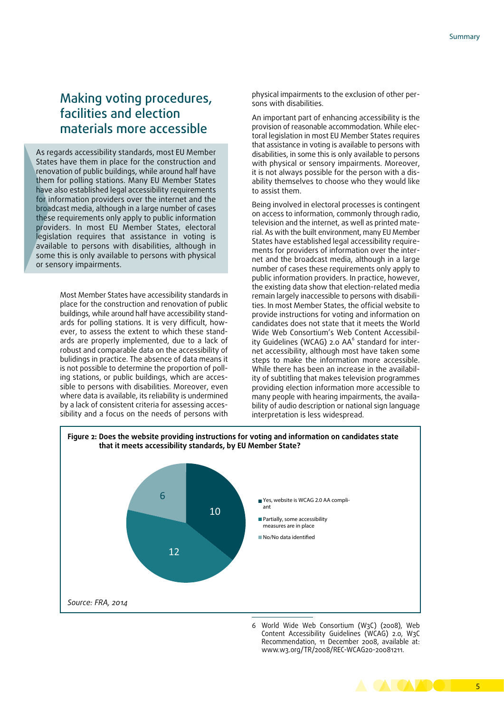## Making voting procedures, facilities and election materials more accessible

As regards accessibility standards, most EU Member States have them in place for the construction and renovation of public buildings, while around half have them for polling stations. Many EU Member States have also established legal accessibility requirements for information providers over the internet and the broadcast media, although in a large number of cases these requirements only apply to public information providers. In most EU Member States, electoral legislation requires that assistance in voting is available to persons with disabilities, although in some this is only available to persons with physical or sensory impairments.

> Most Member States have accessibility standards in place for the construction and renovation of public buildings, while around half have accessibility standards for polling stations. It is very difficult, however, to assess the extent to which these standards are properly implemented, due to a lack of robust and comparable data on the accessibility of bulidings in practice. The absence of data means it is not possible to determine the proportion of polling stations, or public buildings, which are accessible to persons with disabilities. Moreover, even where data is available, its reliability is undermined by a lack of consistent criteria for assessing accessibility and a focus on the needs of persons with

physical impairments to the exclusion of other persons with disabilities.

An important part of enhancing accessibility is the provision of reasonable accommodation. While electoral legislation in most EU Member States requires that assistance in voting is available to persons with disabilities, in some this is only available to persons with physical or sensory impairments. Moreover, it is not always possible for the person with a disability themselves to choose who they would like to assist them.

Being involved in electoral processes is contingent on access to information, commonly through radio, television and the internet, as well as printed material. As with the built environment, many EU Member States have established legal accessibility requirements for providers of information over the internet and the broadcast media, although in a large number of cases these requirements only apply to public information providers. In practice, however, the existing data show that election-related media remain largely inaccessible to persons with disabilities. In most Member States, the official website to provide instructions for voting and information on candidates does not state that it meets the World Wide Web Consortium's Web Content Accessibility Guidelines (WCAG) 2.0 AA<sup>6</sup> standard for internet accessibility, although most have taken some steps to make the information more accessible. While there has been an increase in the availability of subtitling that makes television programmes providing election information more accessible to many people with hearing impairments, the availability of audio description or national sign language interpretation is less widespread.



6 World Wide Web Consortium (W3C) (2008), Web Content Accessibility Guidelines (WCAG) 2.0, W3C Recommendation, 11 December 2008, available at: [www.w3.org/TR/2008/REC-WCAG20-20081211.](www.w3.org/TR/2008/REC-WCAG20-20081211)

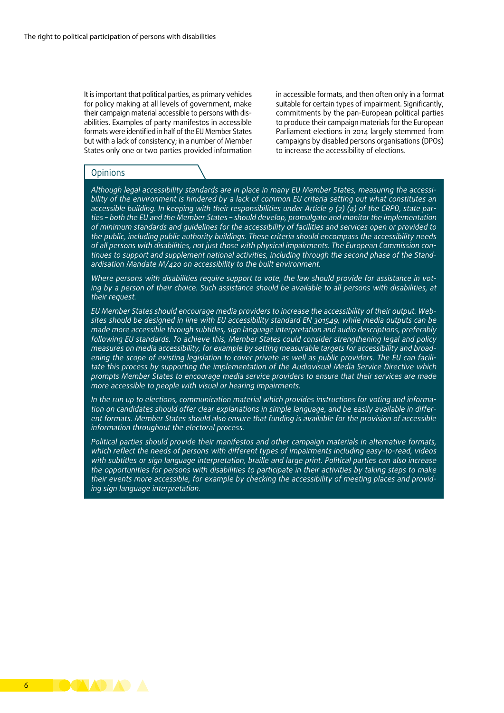It is important that political parties, as primary vehicles for policy making at all levels of government, make their campaign material accessible to persons with disabilities. Examples of party manifestos in accessible formats were identified in half of the EU Member States but with a lack of consistency; in a number of Member States only one or two parties provided information in accessible formats, and then often only in a format suitable for certain types of impairment. Significantly, commitments by the pan-European political parties to produce their campaign materials for the European Parliament elections in 2014 largely stemmed from campaigns by disabled persons organisations (DPOs) to increase the accessibility of elections.

#### **Opinions**

*Although legal accessibility standards are in place in many EU Member States, measuring the accessibility of the environment is hindered by a lack of common EU criteria setting out what constitutes an accessible building. In keeping with their responsibilities under Article 9 (2) (a) of the CRPD, state parties – both the EU and the Member States – should develop, promulgate and monitor the implementation of minimum standards and guidelines for the accessibility of facilities and services open or provided to the public, including public authority buildings. These criteria should encompass the accessibility needs of all persons with disabilities, not just those with physical impairments. The European Commission continues to support and supplement national activities, including through the second phase of the Standardisation Mandate M/420 on accessibility to the built environment.*

*Where persons with disabilities require support to vote, the law should provide for assistance in voting by a person of their choice. Such assistance should be available to all persons with disabilities, at their request.*

*EU Member States should encourage media providers to increase the accessibility of their output. Websites should be designed in line with EU accessibility standard EN 301549, while media outputs can be made more accessible through subtitles, sign language interpretation and audio descriptions, preferably following EU standards. To achieve this, Member States could consider strengthening legal and policy measures on media accessibility, for example by setting measurable targets for accessibility and broadening the scope of existing legislation to cover private as well as public providers. The EU can facilitate this process by supporting the implementation of the Audiovisual Media Service Directive which prompts Member States to encourage media service providers to ensure that their services are made more accessible to people with visual or hearing impairments.* 

*In the run up to elections, communication material which provides instructions for voting and information on candidates should offer clear explanations in simple language, and be easily available in different formats. Member States should also ensure that funding is available for the provision of accessible information throughout the electoral process.*

*Political parties should provide their manifestos and other campaign materials in alternative formats, which reflect the needs of persons with different types of impairments including easy-to-read, videos with subtitles or sign language interpretation, braille and large print. Political parties can also increase the opportunities for persons with disabilities to participate in their activities by taking steps to make their events more accessible, for example by checking the accessibility of meeting places and providing sign language interpretation.*

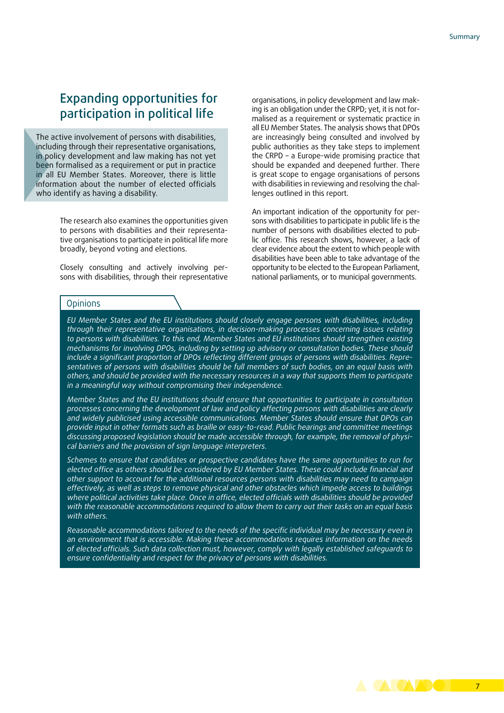## Expanding opportunities for participation in political life

The active involvement of persons with disabilities, including through their representative organisations, in policy development and law making has not yet been formalised as a requirement or put in practice in all EU Member States. Moreover, there is little information about the number of elected officials who identify as having a disability.

> The research also examines the opportunities given to persons with disabilities and their representative organisations to participate in political life more broadly, beyond voting and elections.

> Closely consulting and actively involving persons with disabilities, through their representative

organisations, in policy development and law making is an obligation under the CRPD; yet, it is not formalised as a requirement or systematic practice in all EU Member States. The analysis shows that DPOs are increasingly being consulted and involved by public authorities as they take steps to implement the CRPD – a Europe-wide promising practice that should be expanded and deepened further. There is great scope to engage organisations of persons with disabilities in reviewing and resolving the challenges outlined in this report.

An important indication of the opportunity for persons with disabilities to participate in public life is the number of persons with disabilities elected to public office. This research shows, however, a lack of clear evidence about the extent to which people with disabilities have been able to take advantage of the opportunity to be elected to the European Parliament, national parliaments, or to municipal governments.

#### **Opinions**

*EU Member States and the EU institutions should closely engage persons with disabilities, including through their representative organisations, in decision-making processes concerning issues relating to persons with disabilities. To this end, Member States and EU institutions should strengthen existing mechanisms for involving DPOs, including by setting up advisory or consultation bodies. These should include a significant proportion of DPOs reflecting different groups of persons with disabilities. Representatives of persons with disabilities should be full members of such bodies, on an equal basis with others, and should be provided with the necessary resources in a way that supports them to participate in a meaningful way without compromising their independence.*

*Member States and the EU institutions should ensure that opportunities to participate in consultation processes concerning the development of law and policy affecting persons with disabilities are clearly and widely publicised using accessible communications. Member States should ensure that DPOs can provide input in other formats such as braille or easy-to-read. Public hearings and committee meetings discussing proposed legislation should be made accessible through, for example, the removal of physical barriers and the provision of sign language interpreters.*

*Schemes to ensure that candidates or prospective candidates have the same opportunities to run for elected office as others should be considered by EU Member States. These could include financial and other support to account for the additional resources persons with disabilities may need to campaign effectively, as well as steps to remove physical and other obstacles which impede access to buildings*  where political activities take place. Once in office, elected officials with disabilities should be provided *with the reasonable accommodations required to allow them to carry out their tasks on an equal basis with others.*

*Reasonable accommodations tailored to the needs of the specific individual may be necessary even in an environment that is accessible. Making these accommodations requires information on the needs of elected officials. Such data collection must, however, comply with legally established safeguards to ensure confidentiality and respect for the privacy of persons with disabilities.*

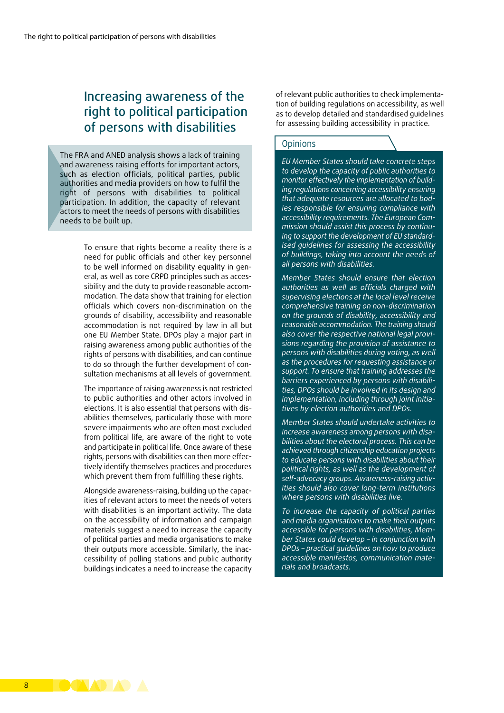## Increasing awareness of the right to political participation of persons with disabilities

The FRA and ANED analysis shows a lack of training and awareness raising efforts for important actors, such as election officials, political parties, public authorities and media providers on how to fulfil the right of persons with disabilities to political participation. In addition, the capacity of relevant actors to meet the needs of persons with disabilities needs to be built up.

> To ensure that rights become a reality there is a need for public officials and other key personnel to be well informed on disability equality in general, as well as core CRPD principles such as accessibility and the duty to provide reasonable accommodation. The data show that training for election officials which covers non-discrimination on the grounds of disability, accessibility and reasonable accommodation is not required by law in all but one EU Member State. DPOs play a major part in raising awareness among public authorities of the rights of persons with disabilities, and can continue to do so through the further development of consultation mechanisms at all levels of government.

> The importance of raising awareness is not restricted to public authorities and other actors involved in elections. It is also essential that persons with disabilities themselves, particularly those with more severe impairments who are often most excluded from political life, are aware of the right to vote and participate in political life. Once aware of these rights, persons with disabilities can then more effectively identify themselves practices and procedures which prevent them from fulfilling these rights.

> Alongside awareness-raising, building up the capacities of relevant actors to meet the needs of voters with disabilities is an important activity. The data on the accessibility of information and campaign materials suggest a need to increase the capacity of political parties and media organisations to make their outputs more accessible. Similarly, the inaccessibility of polling stations and public authority buildings indicates a need to increase the capacity

of relevant public authorities to check implementation of building regulations on accessibility, as well as to develop detailed and standardised guidelines for assessing building accessibility in practice.

### **Opinions**

*EU Member States should take concrete steps to develop the capacity of public authorities to monitor effectively the implementation of building regulations concerning accessibility ensuring that adequate resources are allocated to bodies responsible for ensuring compliance with accessibility requirements. The European Commission should assist this process by continuing to support the development of EU standardised guidelines for assessing the accessibility of buildings, taking into account the needs of all persons with disabilities.*

*Member States should ensure that election authorities as well as officials charged with supervising elections at the local level receive comprehensive training on non-discrimination on the grounds of disability, accessibility and reasonable accommodation. The training should also cover the respective national legal provisions regarding the provision of assistance to persons with disabilities during voting, as well as the procedures for requesting assistance or support. To ensure that training addresses the barriers experienced by persons with disabilities, DPOs should be involved in its design and implementation, including through joint initiatives by election authorities and DPOs.*

*Member States should undertake activities to increase awareness among persons with disabilities about the electoral process. This can be achieved through citizenship education projects to educate persons with disabilities about their political rights, as well as the development of self-advocacy groups. Awareness-raising activities should also cover long-term institutions where persons with disabilities live.*

*To increase the capacity of political parties and media organisations to make their outputs accessible for persons with disabilities, Member States could develop – in conjunction with DPOs – practical guidelines on how to produce accessible manifestos, communication materials and broadcasts.*

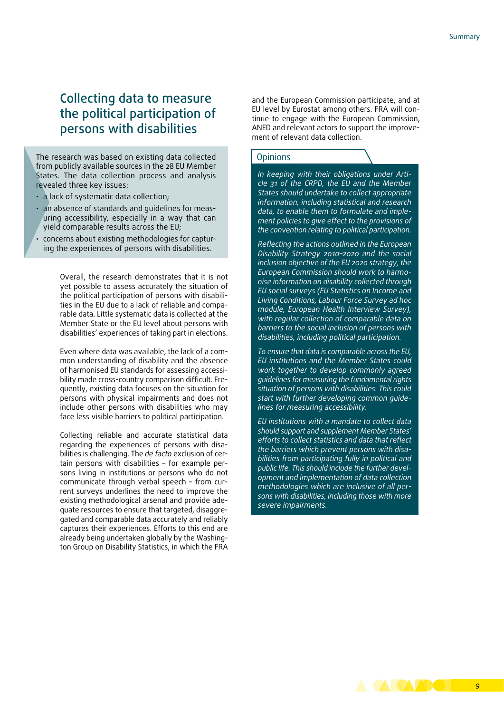## Collecting data to measure the political participation of persons with disabilities

The research was based on existing data collected from publicly available sources in the 28 EU Member States. The data collection process and analysis revealed three key issues:

- a lack of systematic data collection;
- an absence of standards and guidelines for measuring accessibility, especially in a way that can yield comparable results across the EU;
- concerns about existing methodologies for capturing the experiences of persons with disabilities.

Overall, the research demonstrates that it is not yet possible to assess accurately the situation of the political participation of persons with disabilities in the EU due to a lack of reliable and comparable data. Little systematic data is collected at the Member State or the EU level about persons with disabilities' experiences of taking part in elections.

Even where data was available, the lack of a common understanding of disability and the absence of harmonised EU standards for assessing accessibility made cross-country comparison difficult. Frequently, existing data focuses on the situation for persons with physical impairments and does not include other persons with disabilities who may face less visible barriers to political participation.

Collecting reliable and accurate statistical data regarding the experiences of persons with disabilities is challenging. The *de facto* exclusion of certain persons with disabilities – for example persons living in institutions or persons who do not communicate through verbal speech – from current surveys underlines the need to improve the existing methodological arsenal and provide adequate resources to ensure that targeted, disaggregated and comparable data accurately and reliably captures their experiences. Efforts to this end are already being undertaken globally by the Washington Group on Disability Statistics, in which the FRA

and the European Commission participate, and at EU level by Eurostat among others. FRA will continue to engage with the European Commission, ANED and relevant actors to support the improvement of relevant data collection.

#### **Opinions**

*In keeping with their obligations under Article 31 of the CRPD, the EU and the Member States should undertake to collect appropriate information, including statistical and research data, to enable them to formulate and implement policies to give effect to the provisions of the convention relating to political participation.*

*Reflecting the actions outlined in the European Disability Strategy 2010–2020 and the social inclusion objective of the EU 2020 strategy, the European Commission should work to harmonise information on disability collected through EU social surveys (EU Statistics on Income and Living Conditions, Labour Force Survey ad hoc module, European Health Interview Survey), with regular collection of comparable data on barriers to the social inclusion of persons with disabilities, including political participation.*

*To ensure that data is comparable across the EU, EU institutions and the Member States could work together to develop commonly agreed guidelines for measuring the fundamental rights situation of persons with disabilities. This could start with further developing common guidelines for measuring accessibility.*

*EU institutions with a mandate to collect data should support and supplement Member States' efforts to collect statistics and data that reflect the barriers which prevent persons with disabilities from participating fully in political and public life. This should include the further development and implementation of data collection methodologies which are inclusive of all persons with disabilities, including those with more severe impairments.*

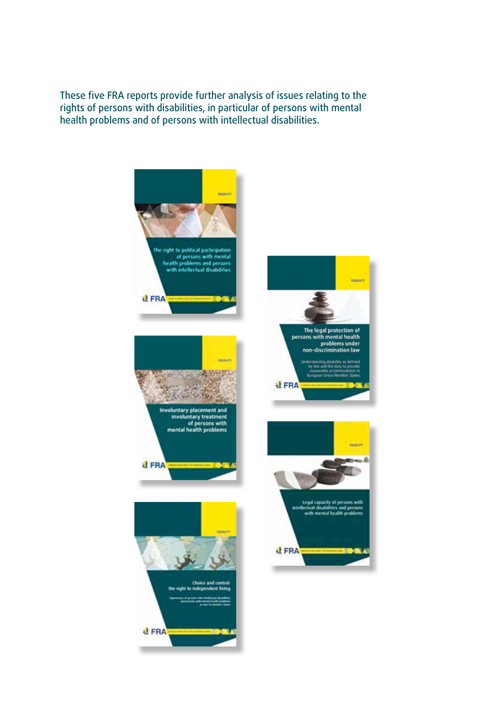These five FRA reports provide further analysis of issues relating to the rights of persons with disabilities, in particular of persons with mental health problems and of persons with intellectual disabilities.